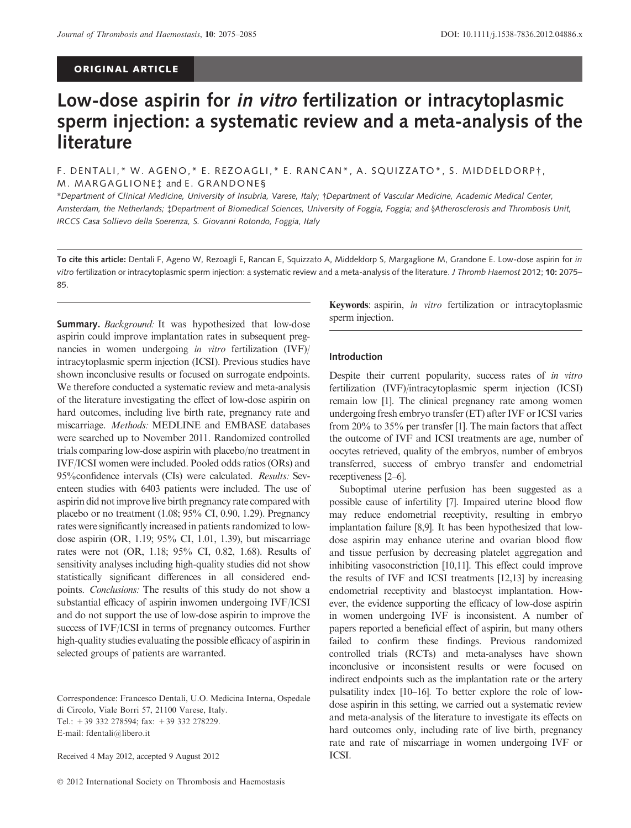# ORIGINAL ARTICLE

# Low-dose aspirin for in vitro fertilization or intracytoplasmic sperm injection: a systematic review and a meta-analysis of the literature

F. DENTALI,\* W. AGENO,\* E. REZOAGLI,\* E. RANCAN\*, A. SQUIZZATO\*, S. MIDDELDORP†, M. MARGAGLIONE: and E. GRANDONES

\*Department of Clinical Medicine, University of Insubria, Varese, Italy; †Department of Vascular Medicine, Academic Medical Center, Amsterdam, the Netherlands; *¿Department of Biomedical Sciences*, University of Foggia, Foggia; and §Atherosclerosis and Thrombosis Unit, IRCCS Casa Sollievo della Soerenza, S. Giovanni Rotondo, Foggia, Italy

To cite this article: Dentali F, Ageno W, Rezoagli E, Rancan E, Squizzato A, Middeldorp S, Margaglione M, Grandone E. Low-dose aspirin for in vitro fertilization or intracytoplasmic sperm injection: a systematic review and a meta-analysis of the literature. J Thromb Haemost 2012; 10: 2075– 85.

**Summary.** Background: It was hypothesized that low-dose aspirin could improve implantation rates in subsequent pregnancies in women undergoing in vitro fertilization (IVF)/ intracytoplasmic sperm injection (ICSI). Previous studies have shown inconclusive results or focused on surrogate endpoints. We therefore conducted a systematic review and meta-analysis of the literature investigating the effect of low-dose aspirin on hard outcomes, including live birth rate, pregnancy rate and miscarriage. Methods: MEDLINE and EMBASE databases were searched up to November 2011. Randomized controlled trials comparing low-dose aspirin with placebo/no treatment in IVF/ICSI women were included. Pooled odds ratios (ORs) and 95%confidence intervals (CIs) were calculated. Results: Seventeen studies with 6403 patients were included. The use of aspirin did not improve live birth pregnancy rate compared with placebo or no treatment (1.08; 95% CI, 0.90, 1.29). Pregnancy rates were significantly increased in patients randomized to lowdose aspirin (OR, 1.19; 95% CI, 1.01, 1.39), but miscarriage rates were not (OR, 1.18; 95% CI, 0.82, 1.68). Results of sensitivity analyses including high-quality studies did not show statistically significant differences in all considered endpoints. Conclusions: The results of this study do not show a substantial efficacy of aspirin inwomen undergoing IVF/ICSI and do not support the use of low-dose aspirin to improve the success of IVF/ICSI in terms of pregnancy outcomes. Further high-quality studies evaluating the possible efficacy of aspirin in selected groups of patients are warranted.

Correspondence: Francesco Dentali, U.O. Medicina Interna, Ospedale di Circolo, Viale Borri 57, 21100 Varese, Italy. Tel.: +39 332 278594; fax: +39 332 278229. E-mail: fdentali@libero.it

Received 4 May 2012, accepted 9 August 2012

Keywords: aspirin, in vitro fertilization or intracytoplasmic sperm injection.

## Introduction

Despite their current popularity, success rates of in vitro fertilization (IVF)/intracytoplasmic sperm injection (ICSI) remain low [1]. The clinical pregnancy rate among women undergoing fresh embryo transfer (ET) after IVF or ICSI varies from 20% to 35% per transfer [1]. The main factors that affect the outcome of IVF and ICSI treatments are age, number of oocytes retrieved, quality of the embryos, number of embryos transferred, success of embryo transfer and endometrial receptiveness [2–6].

Suboptimal uterine perfusion has been suggested as a possible cause of infertility [7]. Impaired uterine blood flow may reduce endometrial receptivity, resulting in embryo implantation failure [8,9]. It has been hypothesized that lowdose aspirin may enhance uterine and ovarian blood flow and tissue perfusion by decreasing platelet aggregation and inhibiting vasoconstriction [10,11]. This effect could improve the results of IVF and ICSI treatments [12,13] by increasing endometrial receptivity and blastocyst implantation. However, the evidence supporting the efficacy of low-dose aspirin in women undergoing IVF is inconsistent. A number of papers reported a beneficial effect of aspirin, but many others failed to confirm these findings. Previous randomized controlled trials (RCTs) and meta-analyses have shown inconclusive or inconsistent results or were focused on indirect endpoints such as the implantation rate or the artery pulsatility index [10–16]. To better explore the role of lowdose aspirin in this setting, we carried out a systematic review and meta-analysis of the literature to investigate its effects on hard outcomes only, including rate of live birth, pregnancy rate and rate of miscarriage in women undergoing IVF or ICSI.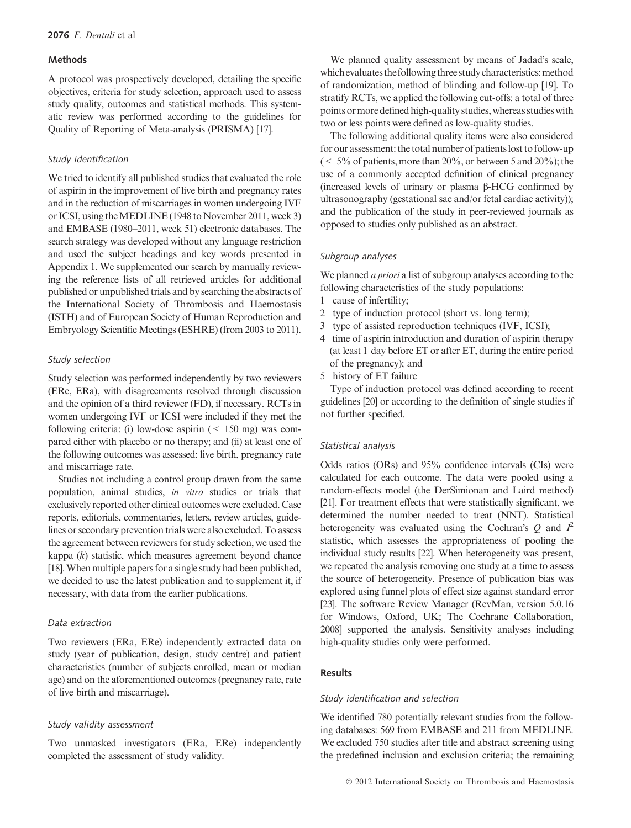## Methods

A protocol was prospectively developed, detailing the specific objectives, criteria for study selection, approach used to assess study quality, outcomes and statistical methods. This systematic review was performed according to the guidelines for Quality of Reporting of Meta-analysis (PRISMA) [17].

### Study identification

We tried to identify all published studies that evaluated the role of aspirin in the improvement of live birth and pregnancy rates and in the reduction of miscarriages in women undergoing IVF or ICSI, using the MEDLINE (1948 to November 2011, week 3) and EMBASE (1980–2011, week 51) electronic databases. The search strategy was developed without any language restriction and used the subject headings and key words presented in Appendix 1. We supplemented our search by manually reviewing the reference lists of all retrieved articles for additional published or unpublished trials and by searching the abstracts of the International Society of Thrombosis and Haemostasis (ISTH) and of European Society of Human Reproduction and Embryology Scientific Meetings (ESHRE) (from 2003 to 2011).

#### Study selection

Study selection was performed independently by two reviewers (ERe, ERa), with disagreements resolved through discussion and the opinion of a third reviewer (FD), if necessary. RCTs in women undergoing IVF or ICSI were included if they met the following criteria: (i) low-dose aspirin  $($  < 150 mg) was compared either with placebo or no therapy; and (ii) at least one of the following outcomes was assessed: live birth, pregnancy rate and miscarriage rate.

Studies not including a control group drawn from the same population, animal studies, in vitro studies or trials that exclusively reported other clinical outcomes were excluded. Case reports, editorials, commentaries, letters, review articles, guidelines or secondary prevention trials were also excluded. To assess the agreement between reviewers for study selection, we used the kappa  $(k)$  statistic, which measures agreement beyond chance [18]. When multiple papers for a single study had been published, we decided to use the latest publication and to supplement it, if necessary, with data from the earlier publications.

### Data extraction

Two reviewers (ERa, ERe) independently extracted data on study (year of publication, design, study centre) and patient characteristics (number of subjects enrolled, mean or median age) and on the aforementioned outcomes (pregnancy rate, rate of live birth and miscarriage).

## Study validity assessment

Two unmasked investigators (ERa, ERe) independently completed the assessment of study validity.

We planned quality assessment by means of Jadad's scale, which evaluates the following three study characteristics: method of randomization, method of blinding and follow-up [19]. To stratify RCTs, we applied the following cut-offs: a total of three points ormore defined high-quality studies, whereas studies with two or less points were defined as low-quality studies.

The following additional quality items were also considered for our assessment: the total number of patientslost to follow-up  $($  < 5% of patients, more than 20%, or between 5 and 20%); the use of a commonly accepted definition of clinical pregnancy (increased levels of urinary or plasma b-HCG confirmed by ultrasonography (gestational sac and/or fetal cardiac activity)); and the publication of the study in peer-reviewed journals as opposed to studies only published as an abstract.

#### Subgroup analyses

We planned *a priori* a list of subgroup analyses according to the following characteristics of the study populations:

- 1 cause of infertility;
- 2 type of induction protocol (short vs. long term);
- 3 type of assisted reproduction techniques (IVF, ICSI);
- 4 time of aspirin introduction and duration of aspirin therapy (at least 1 day before ET or after ET, during the entire period of the pregnancy); and
- 5 history of ET failure

Type of induction protocol was defined according to recent guidelines [20] or according to the definition of single studies if not further specified.

#### Statistical analysis

Odds ratios (ORs) and 95% confidence intervals (CIs) were calculated for each outcome. The data were pooled using a random-effects model (the DerSimionan and Laird method) [21]. For treatment effects that were statistically significant, we determined the number needed to treat (NNT). Statistical heterogeneity was evaluated using the Cochran's Q and  $I^2$ statistic, which assesses the appropriateness of pooling the individual study results [22]. When heterogeneity was present, we repeated the analysis removing one study at a time to assess the source of heterogeneity. Presence of publication bias was explored using funnel plots of effect size against standard error [23]. The software Review Manager (RevMan, version 5.0.16 for Windows, Oxford, UK; The Cochrane Collaboration, 2008] supported the analysis. Sensitivity analyses including high-quality studies only were performed.

## Results

#### Study identification and selection

We identified 780 potentially relevant studies from the following databases: 569 from EMBASE and 211 from MEDLINE. We excluded 750 studies after title and abstract screening using the predefined inclusion and exclusion criteria; the remaining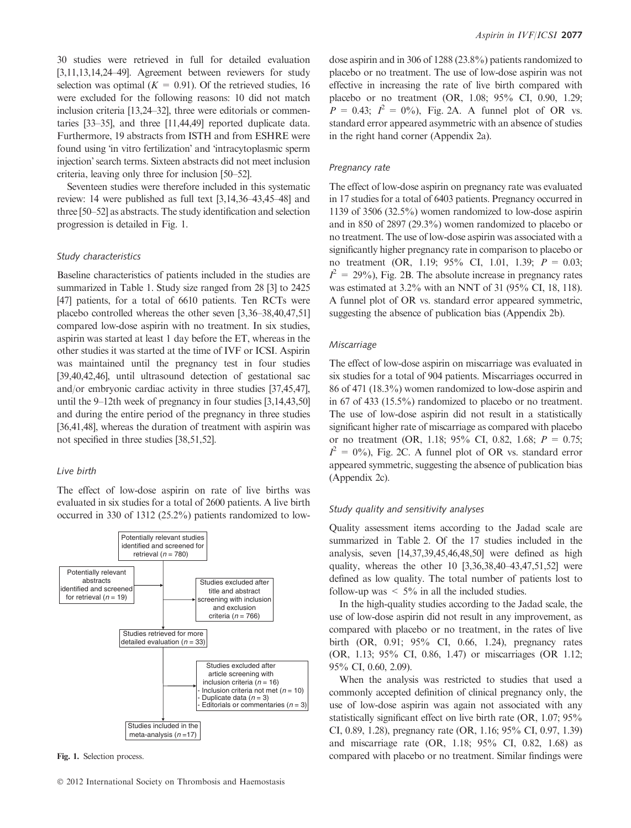30 studies were retrieved in full for detailed evaluation [3,11,13,14,24–49]. Agreement between reviewers for study selection was optimal ( $K = 0.91$ ). Of the retrieved studies, 16 were excluded for the following reasons: 10 did not match inclusion criteria [13,24–32], three were editorials or commentaries [33–35], and three [11,44,49] reported duplicate data. Furthermore, 19 abstracts from ISTH and from ESHRE were found using 'in vitro fertilization' and 'intracytoplasmic sperm injection' search terms. Sixteen abstracts did not meet inclusion criteria, leaving only three for inclusion [50–52].

Seventeen studies were therefore included in this systematic review: 14 were published as full text [3,14,36–43,45–48] and three [50–52] as abstracts. The study identification and selection progression is detailed in Fig. 1.

## Study characteristics

Baseline characteristics of patients included in the studies are summarized in Table 1. Study size ranged from 28 [3] to 2425 [47] patients, for a total of 6610 patients. Ten RCTs were placebo controlled whereas the other seven [3,36–38,40,47,51] compared low-dose aspirin with no treatment. In six studies, aspirin was started at least 1 day before the ET, whereas in the other studies it was started at the time of IVF or ICSI. Aspirin was maintained until the pregnancy test in four studies [39,40,42,46], until ultrasound detection of gestational sac and/or embryonic cardiac activity in three studies [37,45,47], until the 9–12th week of pregnancy in four studies [3,14,43,50] and during the entire period of the pregnancy in three studies [36,41,48], whereas the duration of treatment with aspirin was not specified in three studies [38,51,52].

#### Live birth

The effect of low-dose aspirin on rate of live births was evaluated in six studies for a total of 2600 patients. A live birth occurred in 330 of 1312 (25.2%) patients randomized to low-



Fig. 1. Selection process.

dose aspirin and in 306 of 1288 (23.8%) patients randomized to placebo or no treatment. The use of low-dose aspirin was not effective in increasing the rate of live birth compared with placebo or no treatment (OR, 1.08; 95% CI, 0.90, 1.29;  $P = 0.43;$   $I^2 = 0\%$ , Fig. 2A. A funnel plot of OR vs. standard error appeared asymmetric with an absence of studies in the right hand corner (Appendix 2a).

#### Pregnancy rate

The effect of low-dose aspirin on pregnancy rate was evaluated in 17 studies for a total of 6403 patients. Pregnancy occurred in 1139 of 3506 (32.5%) women randomized to low-dose aspirin and in 850 of 2897 (29.3%) women randomized to placebo or no treatment. The use of low-dose aspirin was associated with a significantly higher pregnancy rate in comparison to placebo or no treatment (OR, 1.19;  $95\%$  CI, 1.01, 1.39;  $P = 0.03$ ;  $I^2 = 29\%$ ), Fig. 2B. The absolute increase in pregnancy rates was estimated at 3.2% with an NNT of 31 (95% CI, 18, 118). A funnel plot of OR vs. standard error appeared symmetric, suggesting the absence of publication bias (Appendix 2b).

#### Miscarriage

The effect of low-dose aspirin on miscarriage was evaluated in six studies for a total of 904 patients. Miscarriages occurred in 86 of 471 (18.3%) women randomized to low-dose aspirin and in 67 of 433 (15.5%) randomized to placebo or no treatment. The use of low-dose aspirin did not result in a statistically significant higher rate of miscarriage as compared with placebo or no treatment (OR, 1.18; 95% CI, 0.82, 1.68;  $P = 0.75$ ;  $I^2 = 0\%$ ), Fig. 2C. A funnel plot of OR vs. standard error appeared symmetric, suggesting the absence of publication bias (Appendix 2c).

## Study quality and sensitivity analyses

Quality assessment items according to the Jadad scale are summarized in Table 2. Of the 17 studies included in the analysis, seven [14,37,39,45,46,48,50] were defined as high quality, whereas the other 10 [3,36,38,40–43,47,51,52] were defined as low quality. The total number of patients lost to follow-up was  $\leq 5\%$  in all the included studies.

In the high-quality studies according to the Jadad scale, the use of low-dose aspirin did not result in any improvement, as compared with placebo or no treatment, in the rates of live birth (OR, 0.91; 95% CI, 0.66, 1.24), pregnancy rates (OR, 1.13; 95% CI, 0.86, 1.47) or miscarriages (OR 1.12; 95% CI, 0.60, 2.09).

When the analysis was restricted to studies that used a commonly accepted definition of clinical pregnancy only, the use of low-dose aspirin was again not associated with any statistically significant effect on live birth rate (OR, 1.07; 95% CI, 0.89, 1.28), pregnancy rate (OR, 1.16; 95% CI, 0.97, 1.39) and miscarriage rate (OR, 1.18; 95% CI, 0.82, 1.68) as compared with placebo or no treatment. Similar findings were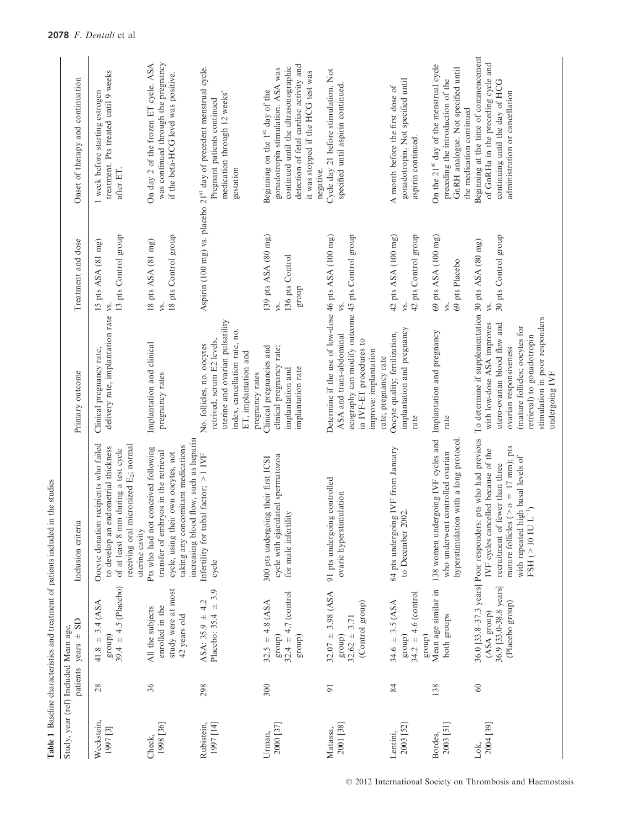| Study, year (ref) Included Mean age, |                       | patients years $\pm$ SD                                                   | Inclusion criteria                                                                                                                                                                                                                                       | Primary outcome                                                                                                                                                                                                                                                | Treatment and dose                                     | Onset of therapy and continuation                                                                                                                                                                                      |
|--------------------------------------|-----------------------|---------------------------------------------------------------------------|----------------------------------------------------------------------------------------------------------------------------------------------------------------------------------------------------------------------------------------------------------|----------------------------------------------------------------------------------------------------------------------------------------------------------------------------------------------------------------------------------------------------------------|--------------------------------------------------------|------------------------------------------------------------------------------------------------------------------------------------------------------------------------------------------------------------------------|
| Weckstein,<br>1997 [3]               | 28                    | 39.4 $\pm$ 4.5 (Placebo)<br>$41.8 \pm 3.4$ (ASA<br>group)                 | Oocyte donation recipients who failed<br>receiving oral micronized E <sub>2</sub> ; normal<br>to develop an endometrial thickness<br>of at least 8 mm during a test cycle<br>uterine cavity                                                              | delivery rate, implantation rate vs.<br>Clinical pregnancy rate,                                                                                                                                                                                               | 13 pts Control group<br>15 pts ASA (81 mg)             | treatment. Pts treated until 9 weeks<br>1 week before starting estrogen<br>after ET.                                                                                                                                   |
| 1998 [36]<br>Check,                  | 36                    | study were at most<br>enrolled in the<br>All the subjects<br>42 years old | increasing blood flow, such as heparin<br>taking any concomitant medications<br>Pts who had not conceived following<br>transfer of embryos in the retrieval<br>cycle, using their own oocytes, not                                                       | Implantation and clinical<br>pregnancy rates                                                                                                                                                                                                                   | 18 pts Control group<br>18 pts ASA (81 mg)<br>VS.      | was continued through the pregnancy<br>On day 2 of the frozen ET cycle. ASA<br>if the beta-HCG level was positive.                                                                                                     |
| Rubistein,<br>1997 [14]              | 298                   | Placebo: $35.4 \pm 3.9$<br>$ASA: 35.9 \pm 4.2$                            | Infertility for tubal factor; > 1 IVF<br>cycle                                                                                                                                                                                                           | uterine and ovarian pulsatility<br>index, cancellation rate, no.<br>retrived, serum E2 levels,<br>No. follicles, no. oocytes<br>ET, implantation and<br>pregnancy rates                                                                                        |                                                        | Aspirin (100 mg) vs. placebo 21 <sup>st</sup> day of precedent menstrual cycle.<br>medication through 12 weeks'<br>Pregnant patients continued<br>gestation                                                            |
| 2000 [37]<br>Urman,                  | 300                   | 32.4 $\pm$ 4.7 (control<br>32.5 $\pm$ 4.8 (ASA<br>group)<br>group)        | cycle with ejaculated spermatozoa<br>300 pts undergoing their first ICSI<br>for male infertility                                                                                                                                                         | Clinical pregnancies and<br>clinical pregnancy rate;<br>implantation and<br>implantation rate                                                                                                                                                                  | 139 pts ASA (80 mg)<br>136 pts Control<br>group<br>VS. | detection of fetal cardiac activity and<br>continued until the ultrasonographic<br>gonadotropin stimulation. ASA was<br>it was stopped if the HCG test was<br>Beginning on the 1 <sup>st</sup> day of the<br>negative. |
| 2001 [38]<br>Matassa,                | $\overline{5}$        | 3.98 (ASA<br>(Control group)<br>$32.62 + 3.71$<br>$32.07 \pm$<br>group)   | 91 pts undergoing controlled<br>ovaric hyperstimulation                                                                                                                                                                                                  | Determine if the use of low-dose 46 pts ASA (100 mg)<br>ecography can modify outcome 45 pts Control group<br>ASA and trans-abdominal<br>in IVF-ET procedures to<br>improve: implantation<br>rate; pregnancy rate                                               | VS.                                                    | Cycle day 21 before stimulation. Not<br>specified until aspirin continued.                                                                                                                                             |
| 2003 [52]<br>Lentini,                | 84                    | 34.2 $\pm$ 4.6 (control<br>$34.6 \pm 3.5$ (ASA<br>group)<br>group)        | 84 pts undergoing IVF from January<br>2002.<br>to December                                                                                                                                                                                               | implantation and pregnancy<br>Oocyte quality; fertilization,<br>rate                                                                                                                                                                                           | 42 pts Control group<br>42 pts ASA (100 mg)<br>vs.     | gonadotropin. Not specified until<br>A month before the first dose of<br>aspirin continued.                                                                                                                            |
| 2003 [51]<br>Bordes.                 | 138                   | Mean age similar in<br>both groups                                        | 138 women undergoing IVF cycles and Implantation and pregnancy<br>hyperstimulation with a long protocol<br>who underwent controlled ovarian                                                                                                              | rate                                                                                                                                                                                                                                                           | 69 pts ASA (100 mg)<br>69 pts Placebo                  | On the 21 <sup>st</sup> day of the menstrual cycle<br>GnRH analogue. Not specified until<br>preceding the introduction of the<br>the medication continued                                                              |
| 2004 [39]<br>Lok,                    | $\mathbin{\mathbb S}$ | 36.9 [33.0-38.8 years]<br>(Placebo group)<br>(ASA group)                  | 36.0 [33.8-37.3 years] Poor responders: pts who had previous<br>mature follicles ( $> 0 = 17$ mm); pts<br>IVF cycles cancelled because of the<br>with repeated high basal levels of FSH ( $>10$ IU $\mathrm{L}^{-1})$<br>recruitment of fewer than three | To determine if supplementation 30 pts ASA (80 mg)<br>stimulation in poor responders<br>utero-ovarian blood flow and<br>with low-dose ASA improves<br>(mature follicles; oocytes for<br>retrieval) to gonadotropin<br>ovarian responsiveness<br>undergoing IVF | 30 pts Control group<br>γS.                            | Beginning at the time of commencement<br>of GnRHa in the preceding cycle and<br>continuing until the day of HCG<br>administration or cancellation                                                                      |

Table 1 Baseline characteristics and treatment of patients included in the studies

Table 1 Baseline characteristics and treatment of patients included in the studies

 $© 2012 International Society on Thrombosis and Haemostasis$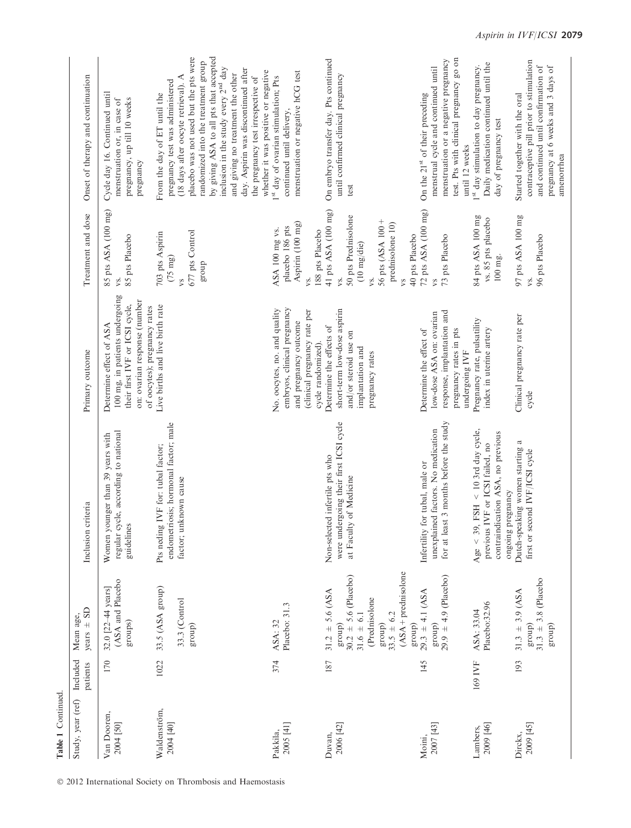| Table 1 Continued         |                      |                                                                                                                                                 |                                                                                                                |                                                                                                                                               |                                                                                                                                                    |                                                                                                                                                                                                                                                                                                                                                                                                        |
|---------------------------|----------------------|-------------------------------------------------------------------------------------------------------------------------------------------------|----------------------------------------------------------------------------------------------------------------|-----------------------------------------------------------------------------------------------------------------------------------------------|----------------------------------------------------------------------------------------------------------------------------------------------------|--------------------------------------------------------------------------------------------------------------------------------------------------------------------------------------------------------------------------------------------------------------------------------------------------------------------------------------------------------------------------------------------------------|
| Study, year (ref)         | Included<br>patients | years $\pm$ SD<br>Mean age,                                                                                                                     | criteria<br>Inclusion                                                                                          | Primary outcome                                                                                                                               | Treatment and dose                                                                                                                                 | Onset of therapy and continuation                                                                                                                                                                                                                                                                                                                                                                      |
| Van Dooren,<br>2004 [50]  | 170                  | (ASA and Placebo<br>32.0 [22-44 years]<br>groups)                                                                                               | regular cycle, according to national<br>Women younger than 39 years with<br>guidelines                         | 100 mg, in patients undergoing<br>on: ovarian response (number<br>their first IVF or ICSI cycle,<br>Determine effect of ASA                   | 85 pts ASA (100 mg)<br>85 pts Placebo<br>vs.                                                                                                       | Cycle day 16. Continued until<br>menstruation or, in case of<br>pregnancy, up till 10 weeks<br>pregnancy                                                                                                                                                                                                                                                                                               |
| Waldenström,<br>2004 [40] | 1022                 | 33.5 (ASA group)<br>33.3 (Control<br>group)                                                                                                     | endometriosis; hormonal factor; male<br>Pts neding IVF for: tubal factor;<br>factor; unknown cause             | Live births and live birth rate<br>of oocytes); pregnancy rates                                                                               | 677 pts Control<br>703 pts Aspirin<br>$(75 \text{ mg})$<br>group<br>VS                                                                             | by giving ASA to all pts that accepted<br>placebo was not used but the pts were<br>randomized into the treatment group<br>inclusion in the study every 2 <sup>nd</sup> day<br>day. Aspirin was discontinued after<br>and giving no treatment the other<br>(18 days after oocyte retrieval). A<br>the pregnancy test irrespective of<br>pregnancy test was administered<br>From the day of ET until the |
| 2005 [41]<br>Pakkila,     | 374                  | Placebo: 31.3<br>ASA: 32                                                                                                                        |                                                                                                                | embryos, clinical pregnancy<br>No. oocytes, no. and quality<br>(clinical pregnancy rate per<br>and pregnancy outcome                          | Aspirin (100 mg)<br>placebo 186 pts<br>ASA 100 mg vs.<br>γs.                                                                                       | whether it was positive or negative<br>menstruation or negative hCG test<br>1st day of ovarian stimulation; Pts<br>continued until delivery,                                                                                                                                                                                                                                                           |
| 2006 [42]<br>Duvan,       | 187                  | $(ASA + prednisolone$<br>$30.2 \pm 5.6$ (Placebo)<br>$31.6 \pm 6.1$<br>$31.2 \pm 5.6$ (ASA<br>(Prednisolone<br>$33.5 + 6.2$<br>group)<br>group) | were undergoing their first ICSI cycle<br>Non-selected infertile pts who<br>at Faculty of Medicine             | short-term low-dose aspirin<br>Determine the effects of<br>and/or steroid use on<br>cycle randomized).<br>implantation and<br>pregnancy rates | 41 pts ASA (100 mg)<br>50 pts Prednisolone<br>56 pts (ASA 100+<br>prednisolone 10)<br>188 pts Placebo<br>$(10 \text{ mg/die})$<br>vs.<br>VS.<br>γS | On embryo transfer day. Pts continued<br>until confirmed clinical pregnancy<br>test                                                                                                                                                                                                                                                                                                                    |
| 2007 [43]<br>Moini,       | 145                  | $29.9 \pm 4.9$ (Placebo)<br>$29.3 \pm 4.1$ (ASA<br>group)<br>group)                                                                             | for at least 3 months before the study<br>unexplained factors. No medication<br>Infertility for tubal, male or | response, implantation and<br>low-dose ASA on: ovarian<br>pregnancy rates in pts<br>Determine the effect of<br>undergoing IVF                 | 72 pts ASA (100 mg)<br>40 pts Placebo<br>73 pts Placebo<br>vs                                                                                      | test. Pts with clinical pregnancy go on<br>menstruation or a negative pregnancy<br>menstrual cycle and continued until<br>On the 21 <sup>st</sup> of their preceding<br>until 12 weeks                                                                                                                                                                                                                 |
| 2009 [46]<br>Lambers,     | 169 IVF              | Placebo:32.96<br>ASA: 33.04                                                                                                                     | Age < 39, FSH < 10 3rd day cycle,<br>contraindication ASA, no previous<br>previous IVF or ICSI failed, no      | Pregnancy rate, pulsatility<br>index in uterine artery                                                                                        | 84 pts ASA 100 mg<br>vs. 85 pts placebo<br>$100$ mg. $\,$                                                                                          | Daily medication continued until the<br>1st day stimulation to day pregnancy.<br>day of pregnancy test                                                                                                                                                                                                                                                                                                 |
| 2009 [45]<br>Dirckx,      | 193                  | $31.3 \pm 3.8$ (Placebo<br>$31.3 \pm 3.9$ (ASA<br>$\operatorname*{groot}$<br>$\operatorname*{groot}$                                            | Dutch-speaking women starting a<br>first or second IVF/ICSI cycle<br>ongoing pregnancy                         | Clinical pregnancy rate per<br>cycle                                                                                                          | 97 pts ASA 100 mg<br>96 pts Placebo<br>νs.                                                                                                         | contraceptive pill prior to stimulation<br>and continued until confirmation of<br>pregnancy at 6 weeks and 3 days of<br>Started together with the oral<br>amenorrhea                                                                                                                                                                                                                                   |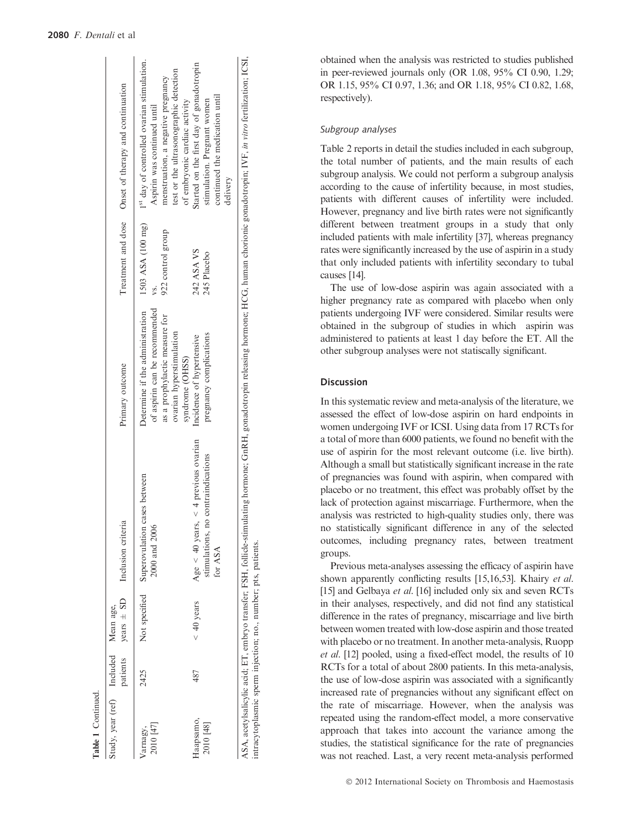| Study, year (ref) Included Mean age, | patients | years $\pm$ SD | Inclusion criteria                                                                              | Primary outcome                                                                                     |                           | Treatment and dose Onset of therapy and continuation                                                                                                                                             |
|--------------------------------------|----------|----------------|-------------------------------------------------------------------------------------------------|-----------------------------------------------------------------------------------------------------|---------------------------|--------------------------------------------------------------------------------------------------------------------------------------------------------------------------------------------------|
| 2010 [47]<br>Varnagy,                | 2425     |                | Not specified Superovulation cases between<br>2000 and 2006                                     | of aspirin can be recommended<br>as a prophylactic measure for                                      | 922 control group<br>ΥS.  | Determine if the administration 1503 ASA (100 mg) 1 <sup>st</sup> day of controlled ovarian stimulation.<br>menstruation, a negative pregnancy<br>Aspirin was continued until                    |
| Haapsamo.<br>2010 [48]               | 487      | $<$ 40 years   | Age $\leq 40$ years, $\leq 4$ previous ovarian<br>stimulations, no contraindications<br>for ASA | ovarian hyperstimulation<br>pregnancy complications<br>Incidence of hypertensive<br>syndrome (OHSS) | 242 ASA VS<br>245 Placebo | Started on the first day of gonadotropin<br>test or the ultrasonographic detection<br>continued the medication until<br>of embryonic cardiac activity<br>stimulation. Pregnant women<br>delivery |

erulization: ICSL. ASA, acetylsalicylic acid; ET, embryo transfer; FSH, follicle-stimulating hormone; GnRH, gonadotropin releasing hormone; HCG, human chorionic gonadotropin; IVF, in vitro fertilization; ICSI, onn m gonadotropin; I cnomomc numan ó aormone: gonadotropin releasing UMKH. norm one: transfer; FSH, follicle-stimulating intracytoplasmic sperm injection; no., number; pts, patients. intracytoplasmic sperm injection; no., number; pts, patients. E1, embryo acetyisalicylic acid; ASA.

obtained when the analysis was restricted to studies published in peer-reviewed journals only (OR 1.08, 95% CI 0.90, 1.29; OR 1.15, 95% CI 0.97, 1.36; and OR 1.18, 95% CI 0.82, 1.68, respectively).

## Subgroup analyses

Table 2 reports in detail the studies included in each subgroup, the total number of patients, and the main results of each subgroup analysis. We could not perform a subgroup analysis according to the cause of infertility because, in most studies, patients with different causes of infertility were included. However, pregnancy and live birth rates were not significantly different between treatment groups in a study that only included patients with male infertility [37], whereas pregnancy rates were significantly increased by the use of aspirin in a study that only included patients with infertility secondary to tubal causes [14].

The use of low-dose aspirin was again associated with a higher pregnancy rate as compared with placebo when only patients undergoing IVF were considered. Similar results were obtained in the subgroup of studies in which aspirin was administered to patients at least 1 day before the ET. All the other subgroup analyses were not statiscally significant.

## Discussion

In this systematic review and meta-analysis of the literature, we assessed the effect of low-dose aspirin on hard endpoints in women undergoing IVF or ICSI. Using data from 17 RCTs for a total of more than 6000 patients, we found no benefit with the use of aspirin for the most relevant outcome (i.e. live birth). Although a small but statistically significant increase in the rate of pregnancies was found with aspirin, when compared with placebo or no treatment, this effect was probably offset by the lack of protection against miscarriage. Furthermore, when the analysis was restricted to high-quality studies only, there was no statistically significant difference in any of the selected outcomes, including pregnancy rates, between treatment groups.

Previous meta-analyses assessing the efficacy of aspirin have shown apparently conflicting results [15,16,53]. Khairy et al. [15] and Gelbaya et al. [16] included only six and seven RCTs in their analyses, respectively, and did not find any statistical difference in the rates of pregnancy, miscarriage and live birth between women treated with low-dose aspirin and those treated with placebo or no treatment. In another meta-analysis, Ruopp et al. [12] pooled, using a fixed-effect model, the results of 10 RCTs for a total of about 2800 patients. In this meta-analysis, the use of low-dose aspirin was associated with a significantly increased rate of pregnancies without any significant effect on the rate of miscarriage. However, when the analysis was repeated using the random-effect model, a more conservative approach that takes into account the variance among the studies, the statistical significance for the rate of pregnancies was not reached. Last, a very recent meta-analysis performed

Table 1 Continued

Continued.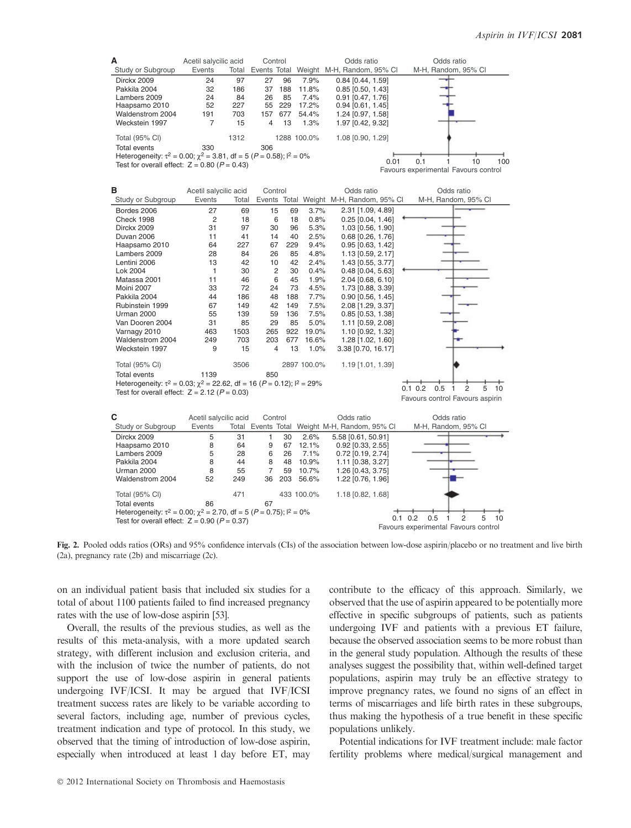

Fig. 2. Pooled odds ratios (ORs) and 95% confidence intervals (CIs) of the association between low-dose aspirin/placebo or no treatment and live birth (2a), pregnancy rate (2b) and miscarriage (2c).

on an individual patient basis that included six studies for a total of about 1100 patients failed to find increased pregnancy rates with the use of low-dose aspirin [53].

Overall, the results of the previous studies, as well as the results of this meta-analysis, with a more updated search strategy, with different inclusion and exclusion criteria, and with the inclusion of twice the number of patients, do not support the use of low-dose aspirin in general patients undergoing IVF/ICSI. It may be argued that IVF/ICSI treatment success rates are likely to be variable according to several factors, including age, number of previous cycles, treatment indication and type of protocol. In this study, we observed that the timing of introduction of low-dose aspirin, especially when introduced at least 1 day before ET, may

 $© 2012 International Society on Thrombosis and Haemostasis$ 

contribute to the efficacy of this approach. Similarly, we observed that the use of aspirin appeared to be potentially more effective in specific subgroups of patients, such as patients undergoing IVF and patients with a previous ET failure, because the observed association seems to be more robust than in the general study population. Although the results of these analyses suggest the possibility that, within well-defined target populations, aspirin may truly be an effective strategy to improve pregnancy rates, we found no signs of an effect in terms of miscarriages and life birth rates in these subgroups, thus making the hypothesis of a true benefit in these specific populations unlikely.

Potential indications for IVF treatment include: male factor fertility problems where medical/surgical management and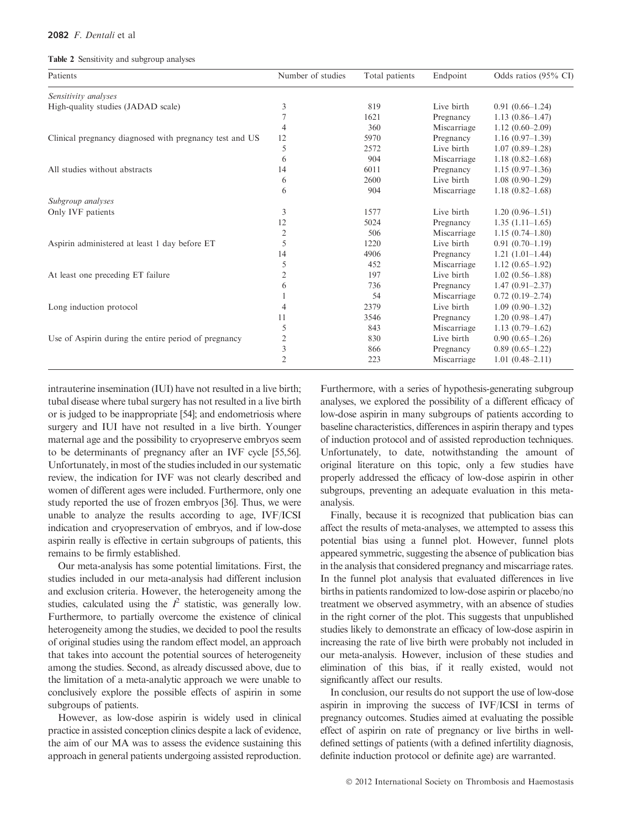## 2082 F. Dentali et al

#### Table 2 Sensitivity and subgroup analyses

| Patients                                                | Number of studies | Total patients | Endpoint    | Odds ratios (95% CI) |
|---------------------------------------------------------|-------------------|----------------|-------------|----------------------|
| Sensitivity analyses                                    |                   |                |             |                      |
| High-quality studies (JADAD scale)                      | 3                 | 819            | Live birth  | $0.91(0.66-1.24)$    |
|                                                         | 7                 | 1621           | Pregnancy   | $1.13(0.86 - 1.47)$  |
|                                                         | 4                 | 360            | Miscarriage | $1.12(0.60-2.09)$    |
| Clinical pregnancy diagnosed with pregnancy test and US | 12                | 5970           | Pregnancy   | $1.16(0.97-1.39)$    |
|                                                         | 5                 | 2572           | Live birth  | $1.07(0.89-1.28)$    |
|                                                         | 6                 | 904            | Miscarriage | $1.18(0.82 - 1.68)$  |
| All studies without abstracts                           | 14                | 6011           | Pregnancy   | $1.15(0.97-1.36)$    |
|                                                         | 6                 | 2600           | Live birth  | $1.08(0.90-1.29)$    |
|                                                         | 6                 | 904            | Miscarriage | $1.18(0.82 - 1.68)$  |
| Subgroup analyses                                       |                   |                |             |                      |
| Only IVF patients                                       | 3                 | 1577           | Live birth  | $1.20(0.96-1.51)$    |
|                                                         | 12                | 5024           | Pregnancy   | $1.35(1.11-1.65)$    |
|                                                         | $\overline{2}$    | 506            | Miscarriage | $1.15(0.74 - 1.80)$  |
| Aspirin administered at least 1 day before ET           | 5                 | 1220           | Live birth  | $0.91(0.70-1.19)$    |
|                                                         | 14                | 4906           | Pregnancy   | $1.21(1.01-1.44)$    |
|                                                         | 5                 | 452            | Miscarriage | $1.12(0.65-1.92)$    |
| At least one preceding ET failure                       | $\overline{2}$    | 197            | Live birth  | $1.02(0.56-1.88)$    |
|                                                         | 6                 | 736            | Pregnancy   | $1.47(0.91 - 2.37)$  |
|                                                         |                   | 54             | Miscarriage | $0.72(0.19-2.74)$    |
| Long induction protocol                                 |                   | 2379           | Live birth  | $1.09(0.90-1.32)$    |
|                                                         | 11                | 3546           | Pregnancy   | $1.20(0.98-1.47)$    |
|                                                         | 5                 | 843            | Miscarriage | $1.13(0.79-1.62)$    |
| Use of Aspirin during the entire period of pregnancy    | $\mathfrak{2}$    | 830            | Live birth  | $0.90(0.65-1.26)$    |
|                                                         | 3                 | 866            | Pregnancy   | $0.89(0.65-1.22)$    |
|                                                         | $\overline{2}$    | 223            | Miscarriage | $1.01(0.48 - 2.11)$  |

intrauterine insemination (IUI) have not resulted in a live birth; tubal disease where tubal surgery has not resulted in a live birth or is judged to be inappropriate [54]; and endometriosis where surgery and IUI have not resulted in a live birth. Younger maternal age and the possibility to cryopreserve embryos seem to be determinants of pregnancy after an IVF cycle [55,56]. Unfortunately, in most of the studies included in our systematic review, the indication for IVF was not clearly described and women of different ages were included. Furthermore, only one study reported the use of frozen embryos [36]. Thus, we were unable to analyze the results according to age, IVF/ICSI indication and cryopreservation of embryos, and if low-dose aspirin really is effective in certain subgroups of patients, this remains to be firmly established.

Our meta-analysis has some potential limitations. First, the studies included in our meta-analysis had different inclusion and exclusion criteria. However, the heterogeneity among the studies, calculated using the  $I^2$  statistic, was generally low. Furthermore, to partially overcome the existence of clinical heterogeneity among the studies, we decided to pool the results of original studies using the random effect model, an approach that takes into account the potential sources of heterogeneity among the studies. Second, as already discussed above, due to the limitation of a meta-analytic approach we were unable to conclusively explore the possible effects of aspirin in some subgroups of patients.

However, as low-dose aspirin is widely used in clinical practice in assisted conception clinics despite a lack of evidence, the aim of our MA was to assess the evidence sustaining this approach in general patients undergoing assisted reproduction. Furthermore, with a series of hypothesis-generating subgroup analyses, we explored the possibility of a different efficacy of low-dose aspirin in many subgroups of patients according to baseline characteristics, differences in aspirin therapy and types of induction protocol and of assisted reproduction techniques. Unfortunately, to date, notwithstanding the amount of original literature on this topic, only a few studies have properly addressed the efficacy of low-dose aspirin in other subgroups, preventing an adequate evaluation in this metaanalysis.

Finally, because it is recognized that publication bias can affect the results of meta-analyses, we attempted to assess this potential bias using a funnel plot. However, funnel plots appeared symmetric, suggesting the absence of publication bias in the analysis that considered pregnancy and miscarriage rates. In the funnel plot analysis that evaluated differences in live births in patients randomized to low-dose aspirin or placebo/no treatment we observed asymmetry, with an absence of studies in the right corner of the plot. This suggests that unpublished studies likely to demonstrate an efficacy of low-dose aspirin in increasing the rate of live birth were probably not included in our meta-analysis. However, inclusion of these studies and elimination of this bias, if it really existed, would not significantly affect our results.

In conclusion, our results do not support the use of low-dose aspirin in improving the success of IVF/ICSI in terms of pregnancy outcomes. Studies aimed at evaluating the possible effect of aspirin on rate of pregnancy or live births in welldefined settings of patients (with a defined infertility diagnosis, definite induction protocol or definite age) are warranted.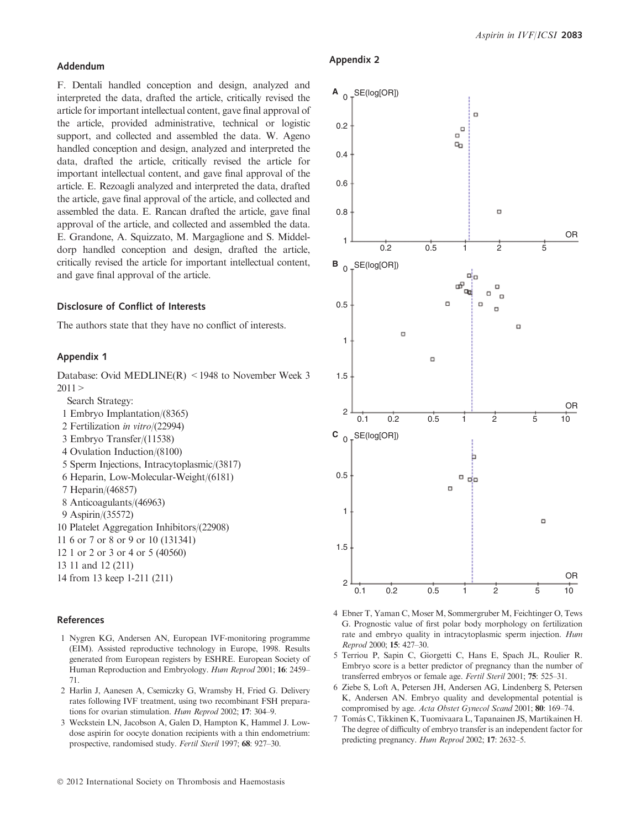## Addendum

F. Dentali handled conception and design, analyzed and interpreted the data, drafted the article, critically revised the article for important intellectual content, gave final approval of the article, provided administrative, technical or logistic support, and collected and assembled the data. W. Ageno handled conception and design, analyzed and interpreted the data, drafted the article, critically revised the article for important intellectual content, and gave final approval of the article. E. Rezoagli analyzed and interpreted the data, drafted the article, gave final approval of the article, and collected and assembled the data. E. Rancan drafted the article, gave final approval of the article, and collected and assembled the data. E. Grandone, A. Squizzato, M. Margaglione and S. Middeldorp handled conception and design, drafted the article, critically revised the article for important intellectual content, and gave final approval of the article.

## Disclosure of Conflict of Interests

The authors state that they have no conflict of interests.

## Appendix 1

Database: Ovid MEDLINE $(R)$  < 1948 to November Week 3  $2011 >$ 

Search Strategy:

- 1 Embryo Implantation/(8365)
- 2 Fertilization in vitro/(22994)
- 3 Embryo Transfer/(11538)
- 4 Ovulation Induction/(8100)
- 5 Sperm Injections, Intracytoplasmic/(3817)
- 6 Heparin, Low-Molecular-Weight/(6181)
- 7 Heparin/(46857)
- 8 Anticoagulants/(46963)
- 9 Aspirin/(35572)
- 10 Platelet Aggregation Inhibitors/(22908)
- 11 6 or 7 or 8 or 9 or 10 (131341)
- 12 1 or 2 or 3 or 4 or 5 (40560)
- 13 11 and 12 (211)
- 14 from 13 keep 1-211 (211)

## References

- 1 Nygren KG, Andersen AN, European IVF-monitoring programme (EIM). Assisted reproductive technology in Europe, 1998. Results generated from European registers by ESHRE. European Society of Human Reproduction and Embryology. Hum Reprod 2001; 16: 2459– 71.
- 2 Harlin J, Aanesen A, Csemiczky G, Wramsby H, Fried G. Delivery rates following IVF treatment, using two recombinant FSH preparations for ovarian stimulation. Hum Reprod 2002; 17: 304–9.
- 3 Weckstein LN, Jacobson A, Galen D, Hampton K, Hammel J. Lowdose aspirin for oocyte donation recipients with a thin endometrium: prospective, randomised study. Fertil Steril 1997; 68: 927–30.

#### Appendix 2



- 4 Ebner T, Yaman C, Moser M, Sommergruber M, Feichtinger O, Tews G. Prognostic value of first polar body morphology on fertilization rate and embryo quality in intracytoplasmic sperm injection. Hum Reprod 2000; 15: 427–30.
- 5 Terriou P, Sapin C, Giorgetti C, Hans E, Spach JL, Roulier R. Embryo score is a better predictor of pregnancy than the number of transferred embryos or female age. Fertil Steril 2001; 75: 525–31.
- 6 Ziebe S, Loft A, Petersen JH, Andersen AG, Lindenberg S, Petersen K, Andersen AN. Embryo quality and developmental potential is compromised by age. Acta Obstet Gynecol Scand 2001; 80: 169–74.
- 7 Toma´s C, Tikkinen K, Tuomivaara L, Tapanainen JS, Martikainen H. The degree of difficulty of embryo transfer is an independent factor for predicting pregnancy. Hum Reprod 2002; 17: 2632–5.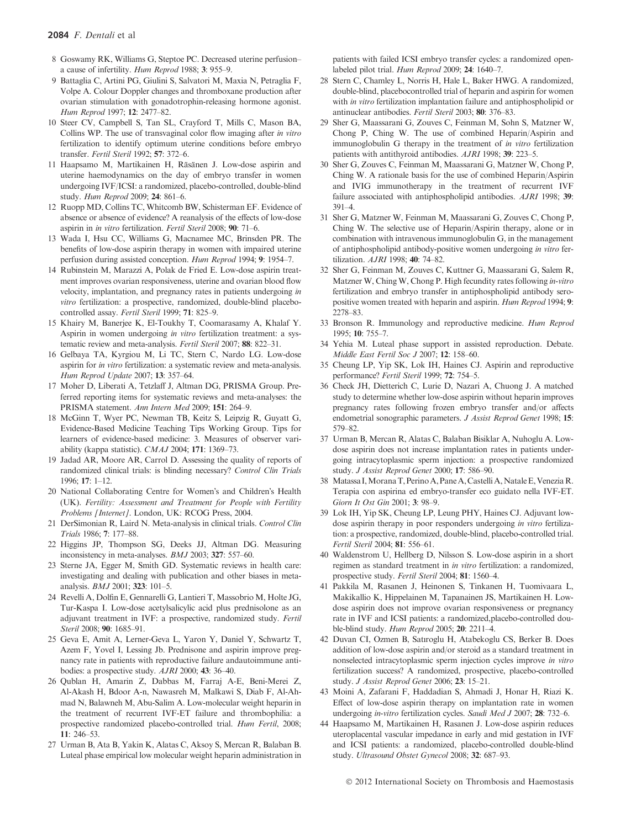- 8 Goswamy RK, Williams G, Steptoe PC. Decreased uterine perfusion– a cause of infertility. Hum Reprod 1988; 3: 955–9.
- 9 Battaglia C, Artini PG, Giulini S, Salvatori M, Maxia N, Petraglia F, Volpe A. Colour Doppler changes and thromboxane production after ovarian stimulation with gonadotrophin-releasing hormone agonist. Hum Reprod 1997; 12: 2477–82.
- 10 Steer CV, Campbell S, Tan SL, Crayford T, Mills C, Mason BA, Collins WP. The use of transvaginal color flow imaging after in vitro fertilization to identify optimum uterine conditions before embryo transfer. Fertil Steril 1992; 57: 372–6.
- 11 Haapsamo M, Martikainen H, Räsänen J. Low-dose aspirin and uterine haemodynamics on the day of embryo transfer in women undergoing IVF/ICSI: a randomized, placebo-controlled, double-blind study. Hum Reprod 2009; 24: 861–6.
- 12 Ruopp MD, Collins TC, Whitcomb BW, Schisterman EF. Evidence of absence or absence of evidence? A reanalysis of the effects of low-dose aspirin in in vitro fertilization. Fertil Steril 2008; 90: 71–6.
- 13 Wada I, Hsu CC, Williams G, Macnamee MC, Brinsden PR. The benefits of low-dose aspirin therapy in women with impaired uterine perfusion during assisted conception. Hum Reprod 1994; 9: 1954–7.
- 14 Rubinstein M, Marazzi A, Polak de Fried E. Low-dose aspirin treatment improves ovarian responsiveness, uterine and ovarian blood flow velocity, implantation, and pregnancy rates in patients undergoing in vitro fertilization: a prospective, randomized, double-blind placebocontrolled assay. Fertil Steril 1999; 71: 825–9.
- 15 Khairy M, Banerjee K, El-Toukhy T, Coomarasamy A, Khalaf Y. Aspirin in women undergoing in vitro fertilization treatment: a systematic review and meta-analysis. Fertil Steril 2007; 88: 822–31.
- 16 Gelbaya TA, Kyrgiou M, Li TC, Stern C, Nardo LG. Low-dose aspirin for in vitro fertilization: a systematic review and meta-analysis. Hum Reprod Update 2007; 13: 357–64.
- 17 Moher D, Liberati A, Tetzlaff J, Altman DG, PRISMA Group. Preferred reporting items for systematic reviews and meta-analyses: the PRISMA statement. Ann Intern Med 2009; 151: 264–9.
- 18 McGinn T, Wyer PC, Newman TB, Keitz S, Leipzig R, Guyatt G, Evidence-Based Medicine Teaching Tips Working Group. Tips for learners of evidence-based medicine: 3. Measures of observer variability (kappa statistic). CMAJ 2004; 171: 1369–73.
- 19 Jadad AR, Moore AR, Carrol D. Assessing the quality of reports of randomized clinical trials: is blinding necessary? Control Clin Trials 1996; 17: 1–12.
- 20 National Collaborating Centre for Women's and Children's Health (UK). Fertility: Assessment and Treatment for People with Fertility Problems [Internet]. London, UK: RCOG Press, 2004.
- 21 DerSimonian R, Laird N. Meta-analysis in clinical trials. Control Clin Trials 1986; 7: 177–88.
- 22 Higgins JP, Thompson SG, Deeks JJ, Altman DG. Measuring inconsistency in meta-analyses. BMJ 2003; 327: 557–60.
- 23 Sterne JA, Egger M, Smith GD. Systematic reviews in health care: investigating and dealing with publication and other biases in metaanalysis. BMJ 2001; 323: 101–5.
- 24 Revelli A, Dolfin E, Gennarelli G, Lantieri T, Massobrio M, Holte JG, Tur-Kaspa I. Low-dose acetylsalicylic acid plus prednisolone as an adjuvant treatment in IVF: a prospective, randomized study. Fertil Steril 2008; 90: 1685–91.
- 25 Geva E, Amit A, Lerner-Geva L, Yaron Y, Daniel Y, Schwartz T, Azem F, Yovel I, Lessing Jb. Prednisone and aspirin improve pregnancy rate in patients with reproductive failure andautoimmune antibodies: a prospective study. AJRI 2000; 43: 36–40.
- 26 Qublan H, Amarin Z, Dabbas M, Farraj A-E, Beni-Merei Z, Al-Akash H, Bdoor A-n, Nawasreh M, Malkawi S, Diab F, Al-Ahmad N, Balawneh M, Abu-Salim A. Low-molecular weight heparin in the treatment of recurrent IVF-ET failure and thrombophilia: a prospective randomized placebo-controlled trial. Hum Fertil, 2008; 11: 246–53.
- 27 Urman B, Ata B, Yakin K, Alatas C, Aksoy S, Mercan R, Balaban B. Luteal phase empirical low molecular weight heparin administration in

patients with failed ICSI embryo transfer cycles: a randomized openlabeled pilot trial. Hum Reprod 2009; 24: 1640–7.

- 28 Stern C, Chamley L, Norris H, Hale L, Baker HWG. A randomized, double-blind, placebocontrolled trial of heparin and aspirin for women with *in vitro* fertilization implantation failure and antiphospholipid or antinuclear antibodies. Fertil Steril 2003; 80: 376–83.
- 29 Sher G, Maassarani G, Zouves C, Feinman M, Sohn S, Matzner W, Chong P, Ching W. The use of combined Heparin/Aspirin and immunoglobulin G therapy in the treatment of in vitro fertilization patients with antithyroid antibodies. AJRI 1998; 39: 223–5.
- 30 Sher G, Zouves C, Feinman M, Maassarani G, Matzner W, Chong P, Ching W. A rationale basis for the use of combined Heparin/Aspirin and IVIG immunotherapy in the treatment of recurrent IVF failure associated with antiphospholipid antibodies. AJRI 1998; 39: 391–4.
- 31 Sher G, Matzner W, Feinman M, Maassarani G, Zouves C, Chong P, Ching W. The selective use of Heparin/Aspirin therapy, alone or in combination with intravenous immunoglobulin G, in the management of antiphospholipid antibody-positive women undergoing in vitro fertilization. AJRI 1998; 40: 74–82.
- 32 Sher G, Feinman M, Zouves C, Kuttner G, Maassarani G, Salem R, Matzner W, Ching W, Chong P. High fecundity rates following in-vitro fertilization and embryo transfer in antiphospholipid antibody seropositive women treated with heparin and aspirin. Hum Reprod 1994; 9: 2278–83.
- 33 Bronson R. Immunology and reproductive medicine. Hum Reprod 1995; 10: 755–7.
- 34 Yehia M. Luteal phase support in assisted reproduction. Debate. Middle East Fertil Soc J 2007; 12: 158–60.
- 35 Cheung LP, Yip SK, Lok IH, Haines CJ. Aspirin and reproductive performance? Fertil Steril 1999; 72: 754–5.
- 36 Check JH, Dietterich C, Lurie D, Nazari A, Chuong J. A matched study to determine whether low-dose aspirin without heparin improves pregnancy rates following frozen embryo transfer and/or affects endometrial sonographic parameters. J Assist Reprod Genet 1998; 15: 579–82.
- 37 Urman B, Mercan R, Alatas C, Balaban Bisiklar A, Nuhoglu A. Lowdose aspirin does not increase implantation rates in patients undergoing intracytoplasmic sperm injection: a prospective randomized study. J Assist Reprod Genet 2000; 17: 586–90.
- 38 Matassa I,MoranaT,PerinoA,PaneA,CastelliA,NataleE, VeneziaR. Terapia con aspirina ed embryo-transfer eco guidato nella IVF-ET. Giorn It Ost Gin 2001; 3: 98–9.
- Lok IH, Yip SK, Cheung LP, Leung PHY, Haines CJ. Adjuvant lowdose aspirin therapy in poor responders undergoing in vitro fertilization: a prospective, randomized, double-blind, placebo-controlled trial. Fertil Steril 2004; 81: 556–61.
- 40 Waldenstrom U, Hellberg D, Nilsson S. Low-dose aspirin in a short regimen as standard treatment in in vitro fertilization: a randomized, prospective study. Fertil Steril 2004; 81: 1560–4.
- 41 Pakkila M, Rasanen J, Heinonen S, Tinkanen H, Tuomivaara L, Makikallio K, Hippelainen M, Tapanainen JS, Martikainen H. Lowdose aspirin does not improve ovarian responsiveness or pregnancy rate in IVF and ICSI patients: a randomized,placebo-controlled double-blind study. Hum Reprod 2005; 20: 2211–4.
- 42 Duvan CI, Ozmen B, Satıroglu H, Atabekoglu CS, Berker B. Does addition of low-dose aspirin and/or steroid as a standard treatment in nonselected intracytoplasmic sperm injection cycles improve in vitro fertilization success? A randomized, prospective, placebo-controlled study. J Assist Reprod Genet 2006; 23: 15–21.
- 43 Moini A, Zafarani F, Haddadian S, Ahmadi J, Honar H, Riazi K. Effect of low-dose aspirin therapy on implantation rate in women undergoing *in-vitro* fertilization cycles. Saudi Med J 2007; 28: 732–6.
- 44 Haapsamo M, Martikainen H, Rasanen J. Low-dose aspirin reduces uteroplacental vascular impedance in early and mid gestation in IVF and ICSI patients: a randomized, placebo-controlled double-blind study. Ultrasound Obstet Gynecol 2008; 32: 687–93.